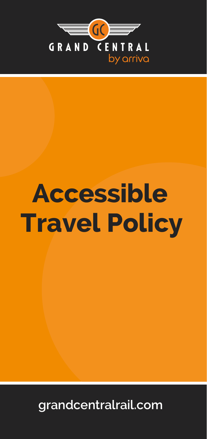

# **Accessible Travel Policy**

**grandcentralrail.com**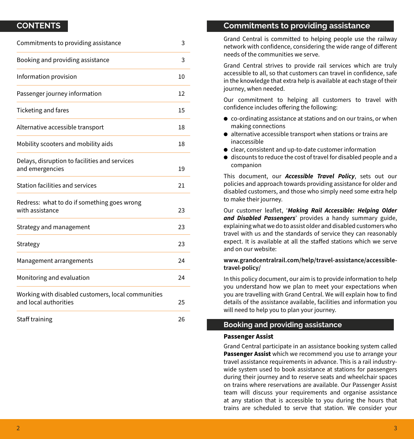## **CONTENTS**

| Commitments to providing assistance                                         |    |
|-----------------------------------------------------------------------------|----|
| Booking and providing assistance                                            | 3  |
| Information provision                                                       | 10 |
| Passenger journey information                                               | 12 |
| Ticketing and fares                                                         | 15 |
| Alternative accessible transport                                            | 18 |
| Mobility scooters and mobility aids                                         | 18 |
| Delays, disruption to facilities and services<br>and emergencies            | 19 |
| Station facilities and services                                             | 21 |
| Redress: what to do if something goes wrong<br>with assistance              | 23 |
| Strategy and management                                                     | 23 |
| Strategy                                                                    | 23 |
| Management arrangements                                                     | 24 |
| Monitoring and evaluation                                                   | 24 |
| Working with disabled customers, local communities<br>and local authorities | 25 |
| Staff training                                                              | 26 |

# **Commitments to providing assistance**

Grand Central is committed to helping people use the railway network with confidence, considering the wide range of different needs of the communities we serve.

Grand Central strives to provide rail services which are truly accessible to all, so that customers can travel in confidence, safe in the knowledge that extra help is available at each stage of their journey, when needed.

Our commitment to helping all customers to travel with confidence includes offering the following:

- $\bullet$  co-ordinating assistance at stations and on our trains, or when making connections
- $\bullet$  alternative accessible transport when stations or trains are inaccessible
- clear, consistent and up-to-date customer information
- $\bullet$  discounts to reduce the cost of travel for disabled people and a companion

This document, our *Accessible Travel Policy*, sets out our policies and approach towards providing assistance for older and disabled customers, and those who simply need some extra help to make their journey.

Our customer leaflet, '*Making Rail Accessible: Helping Older and Disabled Passengers*' provides a handy summary guide, explaining what we do to assist older and disabled customers who travel with us and the standards of service they can reasonably expect. It is available at all the staffed stations which we serve and on our website:

## **www.grandcentralrail.com/help/travel-assistance/accessibletravel-policy/**

In this policy document, our aim is to provide information to help you understand how we plan to meet your expectations when you are travelling with Grand Central. We will explain how to find details of the assistance available, facilities and information you will need to help you to plan your journey.

# **Booking and providing assistance**

#### **Passenger Assist**

Grand Central participate in an assistance booking system called **Passenger Assist** which we recommend you use to arrange your travel assistance requirements in advance. This is a rail industrywide system used to book assistance at stations for passengers during their journey and to reserve seats and wheelchair spaces on trains where reservations are available. Our Passenger Assist team will discuss your requirements and organise assistance at any station that is accessible to you during the hours that trains are scheduled to serve that station. We consider your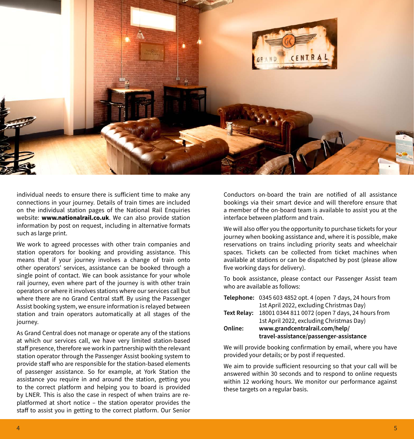

individual needs to ensure there is sufficient time to make any connections in your journey. Details of train times are included on the individual station pages of the National Rail Enquiries website: **www.nationalrail.co.uk**. We can also provide station information by post on request, including in alternative formats such as large print.

We work to agreed processes with other train companies and station operators for booking and providing assistance. This means that if your journey involves a change of train onto other operators' services, assistance can be booked through a single point of contact. We can book assistance for your whole rail journey, even where part of the journey is with other train operators or where it involves stations where our services call but where there are no Grand Central staff. By using the Passenger Assist booking system, we ensure information is relayed between station and train operators automatically at all stages of the iourney.

As Grand Central does not manage or operate any of the stations at which our services call, we have very limited station-based staff presence, therefore we work in partnership with the relevant station operator through the Passenger Assist booking system to provide staff who are responsible for the station-based elements of passenger assistance. So for example, at York Station the assistance you require in and around the station, getting you to the correct platform and helping you to board is provided by LNER. This is also the case in respect of when trains are replatformed at short notice – the station operator provides the staff to assist you in getting to the correct platform. Our Senior

Conductors on-board the train are notified of all assistance bookings via their smart device and will therefore ensure that a member of the on-board team is available to assist you at the interface between platform and train.

We will also offer you the opportunity to purchase tickets for your journey when booking assistance and, where it is possible, make reservations on trains including priority seats and wheelchair spaces. Tickets can be collected from ticket machines when available at stations or can be dispatched by post (please allow five working days for delivery).

To book assistance, please contact our Passenger Assist team who are available as follows:

|         | Telephone: 0345 603 4852 opt. 4 (open 7 days, 24 hours from |
|---------|-------------------------------------------------------------|
|         | 1st April 2022, excluding Christmas Day)                    |
|         | Text Relay: 18001 0344 811 0072 (open 7 days, 24 hours from |
|         | 1st April 2022, excluding Christmas Day)                    |
| Online: | www.grandcentralrail.com/help/                              |
|         | travel-assistance/passenger-assistance                      |

We will provide booking confirmation by email, where you have provided your details; or by post if requested.

We aim to provide sufficient resourcing so that your call will be answered within 30 seconds and to respond to online requests within 12 working hours. We monitor our performance against these targets on a regular basis.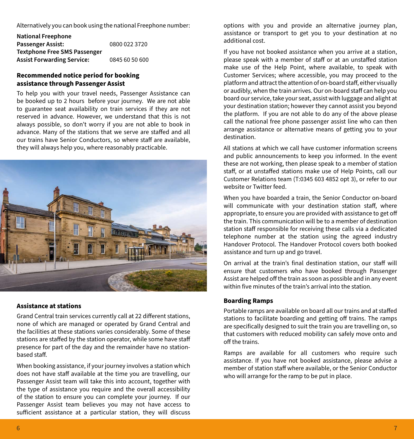Alternatively you can book using the national Freephone number:

**National Freephone Passenger Assist:** 0800 022 3720 **Textphone Free SMS Passenger Assist Forwarding Service:** 0845 60 50 600

## **Recommended notice period for booking assistance through Passenger Assist**

To help you with your travel needs, Passenger Assistance can be booked up to 2 hours before your journey. We are not able to guarantee seat availability on train services if they are not reserved in advance. However, we understand that this is not always possible, so don't worry if you are not able to book in advance. Many of the stations that we serve are staffed and all our trains have Senior Conductors, so where staff are available, they will always help you, where reasonably practicable.



#### **Assistance at stations**

Grand Central train services currently call at 22 different stations, none of which are managed or operated by Grand Central and the facilities at these stations varies considerably. Some of these stations are staffed by the station operator, while some have staff presence for part of the day and the remainder have no stationbased staff.

When booking assistance, if your journey involves a station which does not have staff available at the time you are travelling, our Passenger Assist team will take this into account, together with the type of assistance you require and the overall accessibility of the station to ensure you can complete your journey. If our Passenger Assist team believes you may not have access to sufficient assistance at a particular station, they will discuss options with you and provide an alternative journey plan, assistance or transport to get you to your destination at no additional cost.

If you have not booked assistance when you arrive at a station, please speak with a member of staff or at an unstaffed station make use of the Help Point, where available, to speak with Customer Services; where accessible, you may proceed to the platform and attract the attention of on-board staff, either visually or audibly, when the train arrives. Our on-board staff can help you board our service, take your seat, assist with luggage and alight at your destination station; however they cannot assist you beyond the platform. If you are not able to do any of the above please call the national free phone passenger assist line who can then arrange assistance or alternative means of getting you to your destination.

All stations at which we call have customer information screens and public announcements to keep you informed. In the event these are not working, then please speak to a member of station staff, or at unstaffed stations make use of Help Points, call our Customer Relations team (T:0345 603 4852 opt 3), or refer to our website or Twitter feed.

When you have boarded a train, the Senior Conductor on-board will communicate with your destination station staff, where appropriate, to ensure you are provided with assistance to get off the train. This communication will be to a member of destination station staff responsible for receiving these calls via a dedicated telephone number at the station using the agreed industry Handover Protocol. The Handover Protocol covers both booked assistance and turn up and go travel.

On arrival at the train's final destination station, our staff will ensure that customers who have booked through Passenger Assist are helped off the train as soon as possible and in any event within five minutes of the train's arrival into the station.

## **Boarding Ramps**

Portable ramps are available on board all our trains and at staffed stations to facilitate boarding and getting off trains. The ramps are specifically designed to suit the train you are travelling on, so that customers with reduced mobility can safely move onto and off the trains.

Ramps are available for all customers who require such assistance. If you have not booked assistance, please advise a member of station staff where available, or the Senior Conductor who will arrange for the ramp to be put in place.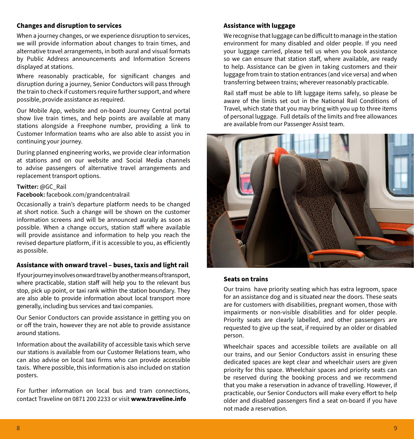## **Changes and disruption to services**

When a journey changes, or we experience disruption to services, we will provide information about changes to train times, and alternative travel arrangements, in both aural and visual formats by Public Address announcements and Information Screens displayed at stations.

Where reasonably practicable, for significant changes and disruption during a journey, Senior Conductors will pass through the train to check if customers require further support, and where possible, provide assistance as required.

Our Mobile App, website and on-board Journey Central portal show live train times, and help points are available at many stations alongside a Freephone number, providing a link to Customer Information teams who are also able to assist you in continuing your journey.

During planned engineering works, we provide clear information at stations and on our website and Social Media channels to advise passengers of alternative travel arrangements and replacement transport options.

#### **Twitter:** @GC\_Rail

**Facebook:** facebook.com/grandcentralrail

Occasionally a train's departure platform needs to be changed at short notice. Such a change will be shown on the customer information screens and will be announced aurally as soon as possible. When a change occurs, station staff where available will provide assistance and information to help you reach the revised departure platform, if it is accessible to you, as efficiently as possible.

#### **Assistance with onward travel – buses, taxis and light rail**

If your journey involves onward travel by another means of transport, where practicable, station staff will help you to the relevant bus stop, pick up point, or taxi rank within the station boundary. They are also able to provide information about local transport more generally, including bus services and taxi companies.

Our Senior Conductors can provide assistance in getting you on or off the train, however they are not able to provide assistance around stations.

Information about the availability of accessible taxis which serve our stations is available from our Customer Relations team, who can also advise on local taxi firms who can provide accessible taxis. Where possible, this information is also included on station posters.

For further information on local bus and tram connections, contact Traveline on 0871 200 2233 or visit **www.traveline.info**

#### **Assistance with luggage**

We recognise that luggage can be difficult to manage in the station environment for many disabled and older people. If you need your luggage carried, please tell us when you book assistance so we can ensure that station staff, where available, are ready to help. Assistance can be given in taking customers and their luggage from train to station entrances (and vice versa) and when transferring between trains; wherever reasonably practicable.

Rail staff must be able to lift luggage items safely, so please be aware of the limits set out in the National Rail Conditions of Travel, which state that you may bring with you up to three items of personal luggage. Full details of the limits and free allowances are available from our Passenger Assist team.



## **Seats on trains**

Our trains have priority seating which has extra legroom, space for an assistance dog and is situated near the doors. These seats are for customers with disabilities, pregnant women, those with impairments or non-visible disabilities and for older people. Priority seats are clearly labelled, and other passengers are requested to give up the seat, if required by an older or disabled person.

Wheelchair spaces and accessible toilets are available on all our trains, and our Senior Conductors assist in ensuring these dedicated spaces are kept clear and wheelchair users are given priority for this space. Wheelchair spaces and priority seats can be reserved during the booking process and we recommend that you make a reservation in advance of travelling. However, if practicable, our Senior Conductors will make every effort to help older and disabled passengers find a seat on-board if you have not made a reservation.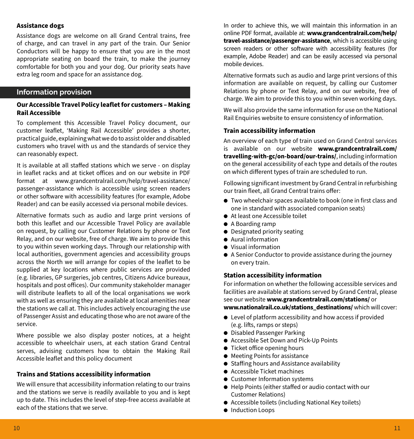## **Assistance dogs**

Assistance dogs are welcome on all Grand Central trains, free of charge, and can travel in any part of the train. Our Senior Conductors will be happy to ensure that you are in the most appropriate seating on board the train, to make the journey comfortable for both you and your dog. Our priority seats have extra leg room and space for an assistance dog.

## **Information provision**

## **Our Accessible Travel Policy leaflet for customers – Making Rail Accessible**

To complement this Accessible Travel Policy document, our customer leaflet, 'Making Rail Accessible' provides a shorter, practical guide, explaining what we do to assist older and disabled customers who travel with us and the standards of service they can reasonably expect.

It is available at all staffed stations which we serve - on display in leaflet racks and at ticket offices and on our website in PDF format at www.grandcentralrail.com/help/travel-assistance/ passenger-assistance which is accessible using screen readers or other software with accessibility features (for example, Adobe Reader) and can be easily accessed via personal mobile devices.

Alternative formats such as audio and large print versions of both this leaflet and our Accessible Travel Policy are available on request, by calling our Customer Relations by phone or Text Relay, and on our website, free of charge. We aim to provide this to you within seven working days. Through our relationship with local authorities, government agencies and accessibility groups across the North we will arrange for copies of the leaflet to be supplied at key locations where public services are provided (e.g. libraries, GP surgeries, job centres, Citizens Advice bureaux, hospitals and post offices). Our community stakeholder manager will distribute leaflets to all of the local organisations we work with as well as ensuring they are available at local amenities near the stations we call at. This includes actively encouraging the use of Passenger Assist and educating those who are not aware of the service.

Where possible we also display poster notices, at a height accessible to wheelchair users, at each station Grand Central serves, advising customers how to obtain the Making Rail Accessible leaflet and this policy document

## **Trains and Stations accessibility information**

We will ensure that accessibility information relating to our trains and the stations we serve is readily available to you and is kept up to date. This includes the level of step-free access available at each of the stations that we serve

In order to achieve this, we will maintain this information in an online PDF format, available at: **www.grandcentralrail.com/help/ travel-assistance/passenger-assistance**, which is accessible using screen readers or other software with accessibility features (for example, Adobe Reader) and can be easily accessed via personal mobile devices.

Alternative formats such as audio and large print versions of this information are available on request, by calling our Customer Relations by phone or Text Relay, and on our website, free of charge. We aim to provide this to you within seven working days.

We will also provide the same information for use on the National Rail Enquiries website to ensure consistency of information.

#### **Train accessibility information**

An overview of each type of train used on Grand Central services is available on our website **www.grandcentralrail.com/ travelling-with-gc/on-board/our-trains/**, including information on the general accessibility of each type and details of the routes on which different types of train are scheduled to run.

Following significant investment by Grand Central in refurbishing our train fleet, all Grand Central trains offer:

- $\bullet$  Two wheelchair spaces available to book (one in first class and one in standard with associated companion seats)
- At least one Accessible toilet
- A Boarding ramp
- $\bullet$  Designated priority seating
- Aural information
- $\bullet$  Visual information
- $\bullet$  A Senior Conductor to provide assistance during the journey on every train.

## **Station accessibility information**

For information on whether the following accessible services and facilities are available at stations served by Grand Central, please see our website **www.grandcentralrail.com/stations/** or **www.nationalrail.co.uk/stations\_destinations/** which will cover:

- $\bullet$  Level of platform accessibility and how access if provided (e.g. lifts, ramps or steps)
- **•** Disabled Passenger Parking
- **Accessible Set Down and Pick-Up Points**
- $\bullet$  Ticket office opening hours
- $\bullet$  Meeting Points for assistance
- Staffing hours and Assistance availability
- $\bullet$  Accessible Ticket machines
- **•** Customer Information systems
- Help Points (either staffed or audio contact with our Customer Relations)
- $\bullet$  Accessible toilets (including National Key toilets)
- $\bullet$  Induction Loops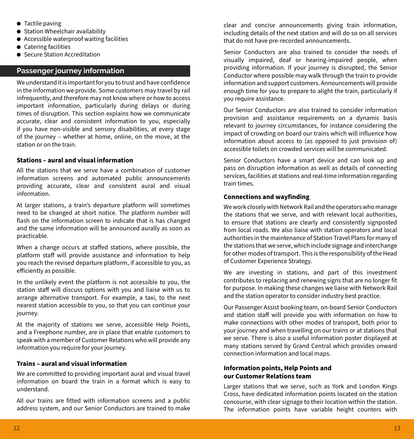- $\bullet$  Tactile paving
- **Station Wheelchair availability**
- $\bullet$  Accessible waterproof waiting facilities
- $\bullet$  Catering facilities
- Secure Station Accreditation

# **Passenger journey information**

We understand it is important for you to trust and have confidence in the information we provide. Some customers may travel by rail infrequently, and therefore may not know where or how to access important information, particularly during delays or during times of disruption. This section explains how we communicate accurate, clear and consistent information to you, especially if you have non-visible and sensory disabilities, at every stage of the journey – whether at home, online, on the move, at the station or on the train.

## **Stations – aural and visual information**

All the stations that we serve have a combination of customer information screens and automated public announcements providing accurate, clear and consistent aural and visual information.

At larger stations, a train's departure platform will sometimes need to be changed at short notice. The platform number will flash on the information screen to indicate that is has changed and the same information will be announced aurally as soon as practicable.

When a change occurs at staffed stations, where possible, the platform staff will provide assistance and information to help you reach the revised departure platform, if accessible to you, as efficiently as possible.

In the unlikely event the platform is not accessible to you, the station staff will discuss options with you and liaise with us to arrange alternative transport. For example, a taxi, to the next nearest station accessible to you, so that you can continue your journey.

At the majority of stations we serve, accessible Help Points, and a Freephone number, are in place that enable customers to speak with a member of Customer Relations who will provide any information you require for your journey.

## **Trains – aural and visual information**

We are committed to providing important aural and visual travel information on board the train in a format which is easy to understand.

All our trains are fitted with information screens and a public address system, and our Senior Conductors are trained to make clear and concise announcements giving train information, including details of the next station and will do so on all services that do not have pre-recorded announcements.

Senior Conductors are also trained to consider the needs of visually impaired, deaf or hearing-impaired people, when providing information. If your journey is disrupted, the Senior Conductor where possible may walk through the train to provide information and support customers. Announcements will provide enough time for you to prepare to alight the train, particularly if you require assistance.

Our Senior Conductors are also trained to consider information provision and assistance requirements on a dynamic basis relevant to journey circumstances, for instance considering the impact of crowding on board our trains which will influence how information about access to (as opposed to just provision of) accessible toilets on crowded services will be communicated.

Senior Conductors have a smart device and can look up and pass on disruption information as well as details of connecting services, facilities at stations and real-time information regarding train times.

## **Connections and wayfinding**

We work closely with Network Rail and the operators who manage the stations that we serve, and with relevant local authorities, to ensure that stations are clearly and consistently signposted from local roads. We also liaise with station operators and local authorities in the maintenance of Station Travel Plans for many of the stations that we serve, which include signage and interchange for other modes of transport. This is the responsibility of the Head of Customer Experience Strategy.

We are investing in stations, and part of this investment contributes to replacing and renewing signs that are no longer fit for purpose. In making these changes we liaise with Network Rail and the station operator to consider industry best practice.

Our Passenger Assist booking team, on-board Senior Conductors and station staff will provide you with information on how to make connections with other modes of transport, both prior to your journey and when travelling on our trains or at stations that we serve. There is also a useful information poster displayed at many stations served by Grand Central which provides onward connection information and local maps.

## **Information points, Help Points and our Customer Relations team**

Larger stations that we serve, such as York and London Kings Cross, have dedicated information points located on the station concourse, with clear signage to their location within the station. The information points have variable height counters with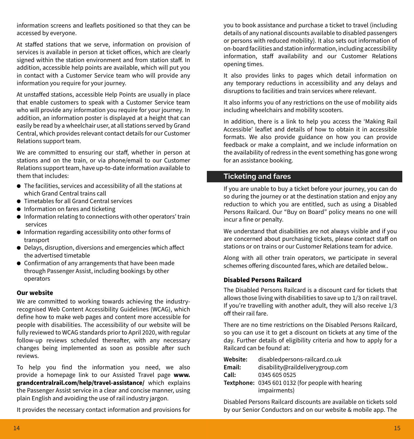information screens and leaflets positioned so that they can be accessed by everyone.

At staffed stations that we serve, information on provision of services is available in person at ticket offices, which are clearly signed within the station environment and from station staff. In addition, accessible help points are available, which will put you in contact with a Customer Service team who will provide any information you require for your journey.

At unstaffed stations, accessible Help Points are usually in place that enable customers to speak with a Customer Service team who will provide any information you require for your journey. In addition, an information poster is displayed at a height that can easily be read by a wheelchair user, at all stations served by Grand Central, which provides relevant contact details for our Customer Relations support team.

We are committed to ensuring our staff, whether in person at stations and on the train, or via phone/email to our Customer Relations support team, have up-to-date information available to them that includes:

- $\bullet$  The facilities, services and accessibility of all the stations at which Grand Central trains call
- **Timetables for all Grand Central services**
- **•** Information on fares and ticketing
- $\bullet$  Information relating to connections with other operators' train services
- $\bullet$  Information regarding accessibility onto other forms of transport
- $\bullet$  Delays, disruption, diversions and emergencies which affect the advertised timetable
- Confirmation of any arrangements that have been made through Passenger Assist, including bookings by other operators

## **Our website**

We are committed to working towards achieving the industryrecognised Web Content Accessibility Guidelines (WCAG), which define how to make web pages and content more accessible for people with disabilities. The accessibility of our website will be fully reviewed to WCAG standards prior to April 2020, with regular follow-up reviews scheduled thereafter, with any necessary changes being implemented as soon as possible after such reviews.

To help you find the information you need, we also provide a homepage link to our Assisted Travel page **www. grandcentralrail.com/help/travel-assistance/** which explains the Passenger Assist service in a clear and concise manner, using plain English and avoiding the use of rail industry jargon.

It provides the necessary contact information and provisions for

you to book assistance and purchase a ticket to travel (including details of any national discounts available to disabled passengers or persons with reduced mobility). It also sets out information of on-board facilities and station information, including accessibility information, staff availability and our Customer Relations opening times.

It also provides links to pages which detail information on any temporary reductions in accessibility and any delays and disruptions to facilities and train services where relevant.

It also informs you of any restrictions on the use of mobility aids including wheelchairs and mobility scooters.

In addition, there is a link to help you access the 'Making Rail Accessible' leaflet and details of how to obtain it in accessible formats. We also provide guidance on how you can provide feedback or make a complaint, and we include information on the availability of redress in the event something has gone wrong for an assistance booking.

# **Ticketing and fares**

If you are unable to buy a ticket before your journey, you can do so during the journey or at the destination station and enjoy any reduction to which you are entitled, such as using a Disabled Persons Railcard. Our "Buy on Board" policy means no one will incur a fine or penalty.

We understand that disabilities are not always visible and if you are concerned about purchasing tickets, please contact staff on stations or on trains or our Customer Relations team for advice.

Along with all other train operators, we participate in several schemes offering discounted fares, which are detailed below..

## **Disabled Persons Railcard**

The Disabled Persons Railcard is a discount card for tickets that allows those living with disabilities to save up to 1/3 on rail travel. If you're travelling with another adult, they will also receive 1/3 off their rail fare.

There are no time restrictions on the Disabled Persons Railcard, so you can use it to get a discount on tickets at any time of the day. Further details of eligibility criteria and how to apply for a Railcard can be found at:

| Website: | disabledpersons-railcard.co.uk                    |
|----------|---------------------------------------------------|
| Email:   | disability@raildeliverygroup.com                  |
| Call:    | 0345 605 0525                                     |
|          | Textphone: 0345 601 0132 (for people with hearing |
|          | impairments)                                      |

Disabled Persons Railcard discounts are available on tickets sold by our Senior Conductors and on our website & mobile app. The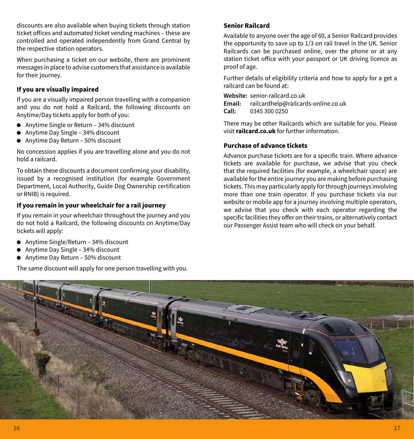discounts are also available when buying tickets through station ticket offices and automated ticket vending machines – these are controlled and operated independently from Grand Central by the respective station operators.

When purchasing a ticket on our website, there are prominent messages in place to advise customers that assistance is available for their journey.

## **If you are visually impaired**

If you are a visually impaired person travelling with a companion and you do not hold a Railcard, the following discounts on Anytime/Day tickets apply for both of you:

- Anytime Single or Return 34% discount
- $\bullet$  Anytime Day Single 34% discount
- Anytime Day Return 50% discount

No concession applies if you are travelling alone and you do not hold a railcard.

To obtain these discounts a document confirming your disability, issued by a recognised institution (for example Government Department, Local Authority, Guide Dog Ownership certification or RNIB) is required.

## **If you remain in your wheelchair for a rail journey**

If you remain in your wheelchair throughout the journey and you do not hold a Railcard, the following discounts on Anytime/Day tickets will apply:

- $\bullet$  Anytime Single/Return 34% discount
- $\bullet$  Anytime Day Single 34% discount
- Anytime Day Return 50% discount

The same discount will apply for one person travelling with you.

## **Senior Railcard**

Available to anyone over the age of 60, a Senior Railcard provides the opportunity to save up to 1/3 on rail travel in the UK. Senior Railcards can be purchased online, over the phone or at any station ticket office with your passport or UK driving licence as proof of age.

Further details of eligibility criteria and how to apply for a get a railcard can be found at:

**Website:** senior-railcard.co.uk<br> **Email:** railcardheln@railcare

**Email:** railcardhelp@railcards-online.co.uk **Call:** 0345 300 0250

There may be other Railcards which are suitable for you. Please visit **railcard.co.uk** for further information.

## **Purchase of advance tickets**

Advance purchase tickets are for a specific train. Where advance tickets are available for purchase, we advise that you check that the required facilities (for example, a wheelchair space) are available for the entire journey you are making before purchasing tickets. This may particularly apply for through journeys involving more than one train operator. If you purchase tickets via our website or mobile app for a journey involving multiple operators, we advise that you check with each operator regarding the specific facilities they offer on their trains, or alternatively contact our Passenger Assist team who will check on your behalf.

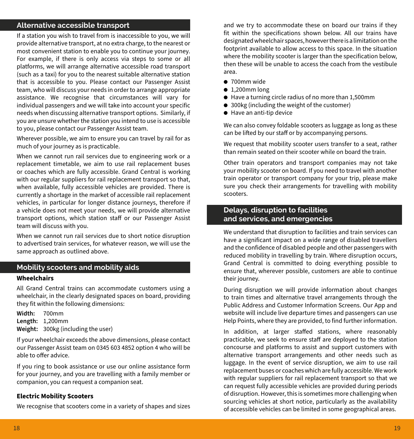## **Alternative accessible transport**

If a station you wish to travel from is inaccessible to you, we will provide alternative transport, at no extra charge, to the nearest or most convenient station to enable you to continue your journey. For example, if there is only access via steps to some or all platforms, we will arrange alternative accessible road transport (such as a taxi) for you to the nearest suitable alternative station that is accessible to you. Please contact our Passenger Assist team, who will discuss your needs in order to arrange appropriate assistance. We recognise that circumstances will vary for individual passengers and we will take into account your specific needs when discussing alternative transport options. Similarly, if you are unsure whether the station you intend to use is accessible to you, please contact our Passenger Assist team.

Wherever possible, we aim to ensure you can travel by rail for as much of your journey as is practicable.

When we cannot run rail services due to engineering work or a replacement timetable, we aim to use rail replacement buses or coaches which are fully accessible. Grand Central is working with our regular suppliers for rail replacement transport so that, when available, fully accessible vehicles are provided. There is currently a shortage in the market of accessible rail replacement vehicles, in particular for longer distance journeys, therefore if a vehicle does not meet your needs, we will provide alternative transport options, which station staff or our Passenger Assist team will discuss with you.

When we cannot run rail services due to short notice disruption to advertised train services, for whatever reason, we will use the same approach as outlined above.

# **Mobility scooters and mobility aids**

## **Wheelchairs**

All Grand Central trains can accommodate customers using a wheelchair, in the clearly designated spaces on board, providing they fit within the following dimensions:

**Width:** 700mm **Length:** 1,200mm **Weight:** 300kg (including the user)

If your wheelchair exceeds the above dimensions, please contact our Passenger Assist team on 0345 603 4852 option 4 who will be able to offer advice.

If you ring to book assistance or use our online assistance form for your journey, and you are travelling with a family member or companion, you can request a companion seat.

## **Electric Mobility Scooters**

We recognise that scooters come in a variety of shapes and sizes

and we try to accommodate these on board our trains if they fit within the specifications shown below. All our trains have designated wheelchair spaces, however there is a limitation on the footprint available to allow access to this space. In the situation where the mobility scooter is larger than the specification below, then these will be unable to access the coach from the vestibule area.

- $\bullet$  700mm wide
- $\bullet$  1,200mm long
- $\bullet$  Have a turning circle radius of no more than 1,500mm
- 300kg (including the weight of the customer)
- $\bullet$  Have an anti-tip device

We can also convey foldable scooters as luggage as long as these can be lifted by our staff or by accompanying persons.

We request that mobility scooter users transfer to a seat, rather than remain seated on their scooter while on board the train.

Other train operators and transport companies may not take your mobility scooter on board. If you need to travel with another train operator or transport company for your trip, please make sure you check their arrangements for travelling with mobility scooters.

# **Delays, disruption to facilities and services, and emergencies**

We understand that disruption to facilities and train services can have a significant impact on a wide range of disabled travellers and the confidence of disabled people and other passengers with reduced mobility in travelling by train. Where disruption occurs, Grand Central is committed to doing everything possible to ensure that, wherever possible, customers are able to continue their journey.

During disruption we will provide information about changes to train times and alternative travel arrangements through the Public Address and Customer Information Screens. Our App and website will include live departure times and passengers can use Help Points, where they are provided, to find further information.

In addition, at larger staffed stations, where reasonably practicable, we seek to ensure staff are deployed to the station concourse and platforms to assist and support customers with alternative transport arrangements and other needs such as luggage. In the event of service disruption, we aim to use rail replacement buses or coaches which are fully accessible. We work with regular suppliers for rail replacement transport so that we can request fully accessible vehicles are provided during periods of disruption. However, this is sometimes more challenging when sourcing vehicles at short notice, particularly as the availability of accessible vehicles can be limited in some geographical areas.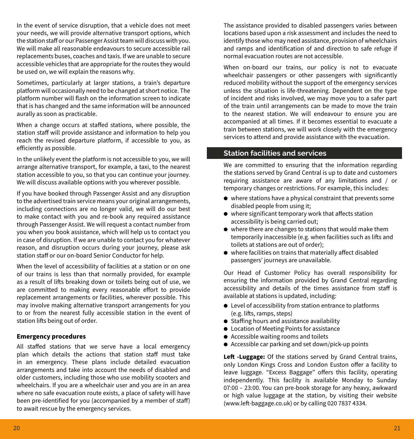In the event of service disruption, that a vehicle does not meet your needs, we will provide alternative transport options, which the station staff or our Passenger Assist team will discuss with you. We will make all reasonable endeavours to secure accessible rail replacements buses, coaches and taxis. If we are unable to secure accessible vehicles that are appropriate for the routes they would be used on, we will explain the reasons why.

Sometimes, particularly at larger stations, a train's departure platform will occasionally need to be changed at short notice. The platform number will flash on the information screen to indicate that is has changed and the same information will be announced aurally as soon as practicable.

When a change occurs at staffed stations, where possible, the station staff will provide assistance and information to help you reach the revised departure platform, if accessible to you, as efficiently as possible.

In the unlikely event the platform is not accessible to you, we will arrange alternative transport, for example, a taxi, to the nearest station accessible to you, so that you can continue your journey. We will discuss available options with you wherever possible.

If you have booked through Passenger Assist and any disruption to the advertised train service means your original arrangements, including connections are no longer valid, we will do our best to make contact with you and re-book any required assistance through Passenger Assist. We will request a contact number from you when you book assistance, which will help us to contact you in case of disruption. If we are unable to contact you for whatever reason, and disruption occurs during your journey, please ask station staff or our on-board Senior Conductor for help.

When the level of accessibility of facilities at a station or on one of our trains is less than that normally provided, for example as a result of lifts breaking down or toilets being out of use, we are committed to making every reasonable effort to provide replacement arrangements or facilities, wherever possible. This may involve making alternative transport arrangements for you to or from the nearest fully accessible station in the event of station lifts being out of order.

#### **Emergency procedures**

All staffed stations that we serve have a local emergency plan which details the actions that station staff must take in an emergency. These plans include detailed evacuation arrangements and take into account the needs of disabled and older customers, including those who use mobility scooters and wheelchairs. If you are a wheelchair user and you are in an area where no safe evacuation route exists, a place of safety will have been pre-identified for you (accompanied by a member of staff) to await rescue by the emergency services.

The assistance provided to disabled passengers varies between locations based upon a risk assessment and includes the need to identify those who may need assistance, provision of wheelchairs and ramps and identification of and direction to safe refuge if normal evacuation routes are not accessible.

When on-board our trains, our policy is not to evacuate wheelchair passengers or other passengers with significantly reduced mobility without the support of the emergency services unless the situation is life-threatening. Dependent on the type of incident and risks involved, we may move you to a safer part of the train until arrangements can be made to move the train to the nearest station. We will endeavour to ensure you are accompanied at all times. If it becomes essential to evacuate a train between stations, we will work closely with the emergency services to attend and provide assistance with the evacuation.

## **Station facilities and services**

We are committed to ensuring that the information regarding the stations served by Grand Central is up to date and customers requiring assistance are aware of any limitations and / or temporary changes or restrictions. For example, this includes:

- $\bullet$  where stations have a physical constraint that prevents some disabled people from using it;
- $\bullet$  where significant temporary work that affects station accessibility is being carried out;
- $\bullet$  where there are changes to stations that would make them temporarily inaccessible (e.g. when facilities such as lifts and toilets at stations are out of order);
- $\bullet$  where facilities on trains that materially affect disabled passengers' journeys are unavailable.

Our Head of Customer Policy has overall responsibility for ensuring the information provided by Grand Central regarding accessibility and details of the times assistance from staff is available at stations is updated, including:

- $\bullet$  Level of accessibility from station entrance to platforms (e.g. lifts, ramps, steps)
- Staffing hours and assistance availability
- **Location of Meeting Points for assistance**
- Accessible waiting rooms and toilets
- $\bullet$  Accessible car parking and set down/pick-up points

**Left -Luggage:** Of the stations served by Grand Central trains, only London Kings Cross and London Euston offer a facility to leave luggage. "Excess Baggage" offers this facility, operating independently. This facility is available Monday to Sunday 07:00 – 23:00. You can pre-book storage for any heavy, awkward or high value luggage at the station, by visiting their website (www.left-baggage.co.uk) or by calling 020 7837 4334.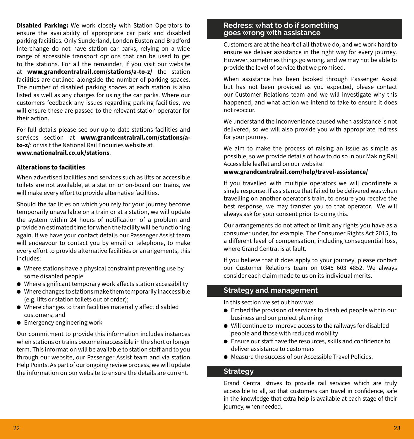**Disabled Parking:** We work closely with Station Operators to ensure the availability of appropriate car park and disabled parking facilities. Only Sunderland, London Euston and Bradford Interchange do not have station car parks, relying on a wide range of accessible transport options that can be used to get to the stations. For all the remainder, if you visit our website at **www.grandcentralrail.com/stations/a-to-z/** the station facilities are outlined alongside the number of parking spaces. The number of disabled parking spaces at each station is also listed as well as any charges for using the car parks. Where our customers feedback any issues regarding parking facilities, we will ensure these are passed to the relevant station operator for their action.

For full details please see our up-to-date stations facilities and services section at **www.grandcentralrail.com/stations/ato-z/**; or visit the National Rail Enquiries website at **www.nationalrail.co.uk/stations**.

## **Alterations to facilities**

When advertised facilities and services such as lifts or accessible toilets are not available, at a station or on-board our trains, we will make every effort to provide alternative facilities.

Should the facilities on which you rely for your journey become temporarily unavailable on a train or at a station, we will update the system within 24 hours of notification of a problem and provide an estimated time for when the facility will be functioning again. If we have your contact details our Passenger Assist team will endeavour to contact you by email or telephone, to make every effort to provide alternative facilities or arrangements, this includes:

- $\bullet$  Where stations have a physical constraint preventing use by some disabled people
- $\bullet$  Where significant temporary work affects station accessibility
- $\bullet$  Where changes to stations make them temporarily inaccessible (e.g. lifts or station toilets out of order);
- $\bullet$  Where changes to train facilities materially affect disabled customers; and
- **•** Emergency engineering work

Our commitment to provide this information includes instances when stations or trains become inaccessible in the short or longer term. This information will be available to station staff and to you through our website, our Passenger Assist team and via station Help Points. As part of our ongoing review process, we will update the information on our website to ensure the details are current.

## **Redress: what to do if something goes wrong with assistance**

Customers are at the heart of all that we do, and we work hard to ensure we deliver assistance in the right way for every journey. However, sometimes things go wrong, and we may not be able to provide the level of service that we promised.

When assistance has been booked through Passenger Assist but has not been provided as you expected, please contact our Customer Relations team and we will investigate why this happened, and what action we intend to take to ensure it does not reoccur.

We understand the inconvenience caused when assistance is not delivered, so we will also provide you with appropriate redress for your journey.

We aim to make the process of raising an issue as simple as possible, so we provide details of how to do so in our Making Rail Accessible leaflet and on our website:

# **www.grandcentralrail.com/help/travel-assistance/**

If you travelled with multiple operators we will coordinate a single response. If assistance that failed to be delivered was when travelling on another operator's train, to ensure you receive the best response, we may transfer you to that operator. We will always ask for your consent prior to doing this.

Our arrangements do not affect or limit any rights you have as a consumer under, for example, The Consumer Rights Act 2015, to a different level of compensation, including consequential loss, where Grand Central is at fault.

If you believe that it does apply to your journey, please contact our Customer Relations team on 0345 603 4852. We always consider each claim made to us on its individual merits.

# **Strategy and management**

In this section we set out how we:

- $\bullet$  Embed the provision of services to disabled people within our business and our project planning
- $\bullet$  Will continue to improve access to the railways for disabled people and those with reduced mobility
- Ensure our staff have the resources, skills and confidence to deliver assistance to customers
- Measure the success of our Accessible Travel Policies.

# **Strategy**

Grand Central strives to provide rail services which are truly accessible to all, so that customers can travel in confidence, safe in the knowledge that extra help is available at each stage of their journey, when needed.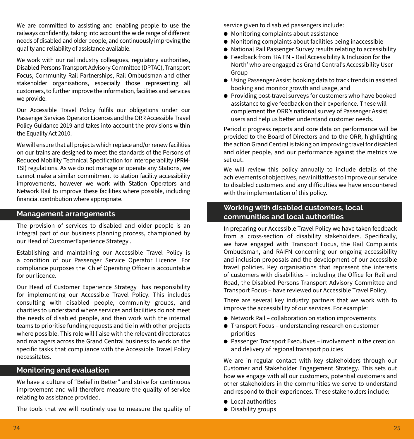We are committed to assisting and enabling people to use the railways confidently, taking into account the wide range of different needs of disabled and older people, and continuously improving the quality and reliability of assistance available.

We work with our rail industry colleagues, regulatory authorities, Disabled Persons Transport Advisory Committee (DPTAC), Transport Focus, Community Rail Partnerships, Rail Ombudsman and other stakeholder organisations, especially those representing all customers, to further improve the information, facilities and services we provide.

Our Accessible Travel Policy fulfils our obligations under our Passenger Services Operator Licences and the ORR Accessible Travel Policy Guidance 2019 and takes into account the provisions within the Equality Act 2010.

We will ensure that all projects which replace and/or renew facilities on our trains are designed to meet the standards of the Persons of Reduced Mobility Technical Specification for Interoperability (PRM-TSI) regulations. As we do not manage or operate any Stations, we cannot make a similar commitment to station facility accessibility improvements, however we work with Station Operators and Network Rail to improve these facilities where possible, including financial contribution where appropriate.

## **Management arrangements**

The provision of services to disabled and older people is an integral part of our business planning process, championed by our Head of CustomerExperience Strategy .

Establishing and maintaining our Accessible Travel Policy is a condition of our Passenger Service Operator Licence. For compliance purposes the Chief Operating Officer is accountable for our licence.

Our Head of Customer Experience Strategy has responsibility for implementing our Accessible Travel Policy. This includes consulting with disabled people, community groups, and charities to understand where services and facilities do not meet the needs of disabled people, and then work with the internal teams to prioritise funding requests and tie in with other projects where possible. This role will liaise with the relevant directorates and managers across the Grand Central business to work on the specific tasks that compliance with the Accessible Travel Policy necessitates.

# **Monitoring and evaluation**

We have a culture of "Belief in Better" and strive for continuous improvement and will therefore measure the quality of service relating to assistance provided.

The tools that we will routinely use to measure the quality of

service given to disabled passengers include:

- $\bullet$  Monitoring complaints about assistance
- $\bullet$  Monitoring complaints about facilities being inaccessible
- $\bullet$  National Rail Passenger Survey results relating to accessibility
- Feedback from 'RAIFN Rail Accessibility & Inclusion for the North' who are engaged as Grand Central's Accessibility User Group
- Using Passenger Assist booking data to track trends in assisted booking and monitor growth and usage, and
- $\bullet$  Providing post-travel surveys for customers who have booked assistance to give feedback on their experience. These will complement the ORR's national survey of Passenger Assist users and help us better understand customer needs.

Periodic progress reports and core data on performance will be provided to the Board of Directors and to the ORR, highlighting the action Grand Central is taking on improving travel for disabled and older people, and our performance against the metrics we set out.

We will review this policy annually to include details of the achievements of objectives, new initiatives to improve our service to disabled customers and any difficulties we have encountered with the implementation of this policy.

# **Working with disabled customers, local communities and local authorities**

In preparing our Accessible Travel Policy we have taken feedback from a cross-section of disability stakeholders. Specifically, we have engaged with Transport Focus, the Rail Complaints Ombudsman, and RAIFN concerning our ongoing accessibility and inclusion proposals and the development of our accessible travel policies. Key organisations that represent the interests of customers with disabilities – including the Office for Rail and Road, the Disabled Persons Transport Advisory Committee and Transport Focus – have reviewed our Accessible Travel Policy.

There are several key industry partners that we work with to improve the accessibility of our services. For example:

- Network Rail collaboration on station improvements
- $\bullet$  Transport Focus understanding research on customer priorities
- $\bullet$  Passenger Transport Executives involvement in the creation and delivery of regional transport policies

We are in regular contact with key stakeholders through our Customer and Stakeholder Engagement Strategy. This sets out how we engage with all our customers, potential customers and other stakeholders in the communities we serve to understand and respond to their experiences. These stakeholders include:

- $\bullet$  Local authorities
- $\bullet$  Disability groups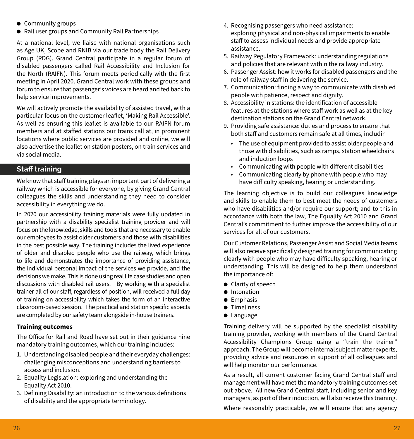- Community groups
- Rail user groups and Community Rail Partnerships

At a national level, we liaise with national organisations such as Age UK, Scope and RNIB via our trade body the Rail Delivery Group (RDG). Grand Central participate in a regular forum of disabled passengers called Rail Accessibility and Inclusion for the North (RAIFN). This forum meets periodically with the first meeting in April 2020. Grand Central work with these groups and forum to ensure that passenger's voices are heard and fed back to help service improvements.

We will actively promote the availability of assisted travel, with a particular focus on the customer leaflet, 'Making Rail Accessible'. As well as ensuring this leaflet is available to our RAIFN forum members and at staffed stations our trains call at, in prominent locations where public services are provided and online, we will also advertise the leaflet on station posters, on train services and via social media.

## **Staff training**

We know that staff training plays an important part of delivering a railway which is accessible for everyone, by giving Grand Central colleagues the skills and understanding they need to consider accessibility in everything we do.

In 2020 our accessibility training materials were fully updated in partnership with a disability specialist training provider and will focus on the knowledge, skills and tools that are necessary to enable our employees to assist older customers and those with disabilities in the best possible way. The training includes the lived experience of older and disabled people who use the railway, which brings to life and demonstrates the importance of providing assistance, the individual personal impact of the services we provide, and the decisions we make. This is done using real life case studies and open discussions with disabled rail users. By working with a specialist trainer all of our staff, regardless of position, will received a full day of training on accessibility which takes the form of an interactive classroom-based session. The practical and station specific aspects are completed by our safety team alongside in-house trainers.

## **Training outcomes**

The Office for Rail and Road have set out in their guidance nine mandatory training outcomes, which our training includes:

- 1. Understanding disabled people and their everyday challenges: challenging misconceptions and understanding barriers to access and inclusion.
- 2. Equality Legislation: exploring and understanding the Equality Act 2010.
- 3. Defining Disability: an introduction to the various definitions of disability and the appropriate terminology.
- 4. Recognising passengers who need assistance: exploring physical and non-physical impairments to enable staff to assess individual needs and provide appropriate assistance.
- 5. Railway Regulatory Framework: understanding regulations and policies that are relevant within the railway industry.
- 6. Passenger Assist: how it works for disabled passengers and the role of railway staff in delivering the service.
- 7. Communication: finding a way to communicate with disabled people with patience, respect and dignity.
- 8. Accessibility in stations: the identification of accessible features at the stations where staff work as well as at the key destination stations on the Grand Central network.
- 9. Providing safe assistance: duties and process to ensure that both staff and customers remain safe at all times, includin
	- The use of equipment provided to assist older people and those with disabilities, such as ramps, station wheelchairs and induction loops
	- Communicating with people with different disabilities
	- Communicating clearly by phone with people who may have difficulty speaking, hearing or understanding.

The learning objective is to build our colleagues knowledge and skills to enable them to best meet the needs of customers who have disabilities and/or require our support; and to this in accordance with both the law, The Equality Act 2010 and Grand Central's commitment to further improve the accessibility of our services for all of our customers.

Our Customer Relations, Passenger Assist and Social Media teams will also receive specifically designed training for communicating clearly with people who may have difficulty speaking, hearing or understanding. This will be designed to help them understand the importance of:

- $\bullet$  Clarity of speech
- **a** Intonation
- $\bullet$  Emphasis
- **·** Timeliness
- Language

Training delivery will be supported by the specialist disability training provider, working with members of the Grand Central Accessibility Champions Group using a "train the trainer" approach. The Group will become internal subject matter experts, providing advice and resources in support of all colleagues and will help monitor our performance.

As a result, all current customer facing Grand Central staff and management will have met the mandatory training outcomes set out above. All new Grand Central staff, including senior and key managers, as part of their induction, will also receive this training. Where reasonably practicable, we will ensure that any agency